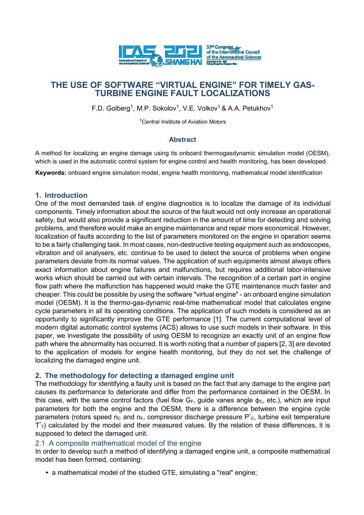

# **THE USE OF SOFTWARE "VIRTUAL ENGINE" FOR TIMELY GAS-TURBINE ENGINE FAULT LOCALIZATIONS**

F.D. Golberg<sup>1</sup>, M.P. Sokolov<sup>1</sup>, V.E. Volkov<sup>1</sup> & A.A. Petukhov<sup>1</sup>

<sup>1</sup>Central Institute of Aviation Motors

#### **Abstract**

A method for localizing an engine damage using its onboard thermogasdynamic simulation model (OESM), which is used in the automatic control system for engine control and health monitoring, has been developed.

**Keywords:** onboard engine simulation model, engine health monitoring, mathematical model identification

#### **1. Introduction**

One of the most demanded task of engine diagnostics is to localize the damage of its individual components. Timely information about the source of the fault would not only increase an operational safety, but would also provide a significant reduction in the amount of time for detecting and solving problems, and therefore would make an engine maintenance and repair more economical. However, localization of faults according to the list of parameters monitored on the engine in operation seems to be a fairly challenging task. In most cases, non-destructive testing equipment such as endoscopes, vibration and oil analysers, etc. continue to be used to detect the source of problems when engine parameters deviate from its normal values. The application of such equipments almost always offers exact information about engine failures and malfunctions, but requires additional labor-intensive works which should be carried out with certain intervals. The recognition of a certain part in engine flow path where the malfunction has happened would make the GTE maintenance much faster and cheaper. This could be possible by using the software "virtual engine" - an onboard engine simulation model (OESM). It is the thermo-gas-dynamic real-time mathematical model that calculates engine cycle parameters in all its operating conditions. The application of such models is considered as an opportunity to significantly improve the GTE performance [1]. The current computational level of modern digital automatic control systems (ACS) allows to use such models in their software. In this paper, we investigate the possibility of using OESM to recognize an exactly unit of an engine flow path where the abnormality has occurred. It is worth noting that a number of papers [2, 3] are devoted to the application of models for engine health monitoring, but they do not set the challenge of localizing the damaged engine unit.

## **2. The methodology for detecting a damaged engine unit**

The methodology for identifying a faulty unit is based on the fact that any damage to the engine part causes its performance to deteriorate and differ from the performance contained in the OESM. In this case, with the same control factors (fuel flow  $G_F$ , guide vanes angle  $\phi_C$ , etc.), which are input parameters for both the engine and the OESM, there is a difference between the engine cycle parameters (rotors speed  $n_c$  and  $n_F$ , compressor discharge pressure  $P^*c$ , turbine exit temperature  $T<sub>T</sub>$ ) calculated by the model and their measured values. By the relation of these differences, it is supposed to detect the damaged unit.

#### 2.1 A composite mathematical model of the engine

In order to develop such a method of identifying a damaged engine unit, a composite mathematical model has been formed, containing:

*•* a mathematical model of the studied GTE, simulating a "real" engine;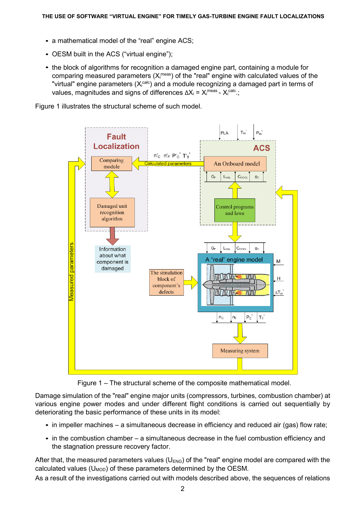- a mathematical model of the "real" engine ACS; *•*
- OESM built in the ACS ("virtual engine"); *•*
- the block of algorithms for recognition a damaged engine part, containing a module for *•* comparing measured parameters  $(X_i^{\text{meas}})$  of the "real" engine with calculated values of the "virtual" engine parameters (Xicalc) and a module recognizing a damaged part in terms of values, magnitudes and signs of differences  $ΔX_i = X_i^{meas} - X_i^{calc.};$

Figure 1 illustrates the structural scheme of such model.



Figure 1 – The structural scheme of the composite mathematical model.

Damage simulation of the "real" engine major units (compressors, turbines, combustion chamber) at various engine power modes and under different flight conditions is carried out sequentially by deteriorating the basic performance of these units in its model:

- in impeller machines a simultaneous decrease in efficiency and reduced air (gas) flow rate;
- in the combustion chamber a simultaneous decrease in the fuel combustion efficiency and the stagnation pressure recovery factor.

After that, the measured parameters values ( $U_{ENG}$ ) of the "real" engine model are compared with the calculated values ( $U_{\text{MOD}}$ ) of these parameters determined by the OESM.

As a result of the investigations carried out with models described above, the sequences of relations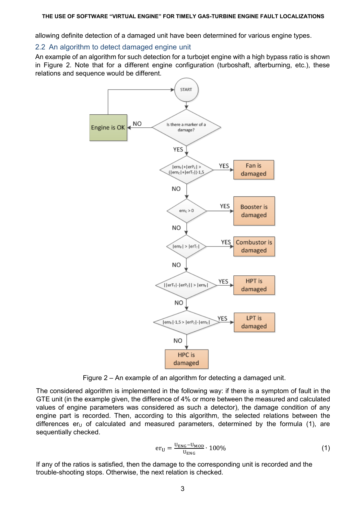allowing definite detection of a damaged unit have been determined for various engine types.

# 2.2 An algorithm to detect damaged engine unit

An example of an algorithm for such detection for a turbojet engine with a high bypass ratio is shown in Figure 2. Note that for a different engine configuration (turboshaft, afterburning, etc.), these relations and sequence would be different.



Figure 2 – An example of an algorithm for detecting a damaged unit.

The considered algorithm is implemented in the following way: if there is a symptom of fault in the GTE unit (in the example given, the difference of 4% or more between the measured and calculated values of engine parameters was considered as such a detector), the damage condition of any engine part is recorded. Then, according to this algorithm, the selected relations between the differences  $er_U$  of calculated and measured parameters, determined by the formula (1), are sequentially checked.

$$
er_{U} = \frac{U_{ENG} - U_{MOD}}{U_{ENG}} \cdot 100\%
$$
\n(1)

If any of the ratios is satisfied, then the damage to the corresponding unit is recorded and the trouble-shooting stops. Otherwise, the next relation is checked.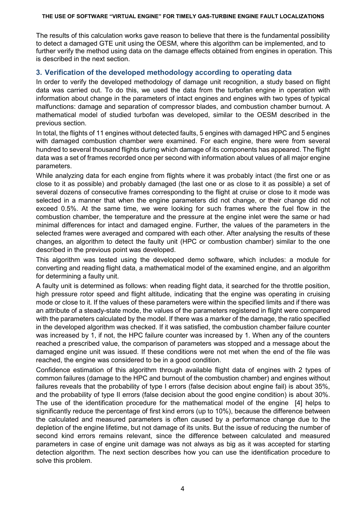#### **THE USE OF SOFTWARE "VIRTUAL ENGINE" FOR TIMELY GAS-TURBINE ENGINE FAULT LOCALIZATIONS**

The results of this calculation works gave reason to believe that there is the fundamental possibility to detect a damaged GTE unit using the OESM, where this algorithm can be implemented, and to further verify the method using data on the damage effects obtained from engines in operation. This is described in the next section.

# **3. Verification of the developed methodology according to operating data**

In order to verify the developed methodology of damage unit recognition, a study based on flight data was carried out. To do this, we used the data from the turbofan engine in operation with information about change in the parameters of intact engines and engines with two types of typical malfunctions: damage and separation of compressor blades, and combustion chamber burnout. A mathematical model of studied turbofan was developed, similar to the OESM described in the previous section.

In total, the flights of 11 engines without detected faults, 5 engines with damaged HPC and 5 engines with damaged combustion chamber were examined. For each engine, there were from several hundred to several thousand flights during which damage of its components has appeared. The flight data was a set of frames recorded once per second with information about values of all major engine parameters.

While analyzing data for each engine from flights where it was probably intact (the first one or as close to it as possible) and probably damaged (the last one or as close to it as possible) a set of several dozens of consecutive frames corresponding to the flight at cruise or close to it mode was selected in a manner that when the engine parameters did not change, or their change did not exceed 0.5%. At the same time, we were looking for such frames where the fuel flow in the combustion chamber, the temperature and the pressure at the engine inlet were the same or had minimal differences for intact and damaged engine. Further, the values of the parameters in the selected frames were averaged and compared with each other. After analysing the results of these changes, an algorithm to detect the faulty unit (HPC or combustion chamber) similar to the one described in the previous point was developed.

This algorithm was tested using the developed demo software, which includes: a module for converting and reading flight data, a mathematical model of the examined engine, and an algorithm for determining a faulty unit.

A faulty unit is determined as follows: when reading flight data, it searched for the throttle position, high pressure rotor speed and flight altitude, indicating that the engine was operating in cruising mode or close to it. If the values of these parameters were within the specified limits and if there was an attribute of a steady-state mode, the values of the parameters registered in flight were compared with the parameters calculated by the model. If there was a marker of the damage, the ratio specified in the developed algorithm was checked. If it was satisfied, the combustion chamber failure counter was increased by 1, if not, the HPC failure counter was increased by 1. When any of the counters reached a prescribed value, the comparison of parameters was stopped and a message about the damaged engine unit was issued. If these conditions were not met when the end of the file was reached, the engine was considered to be in a good condition.

Confidence estimation of this algorithm through available flight data of engines with 2 types of common failures (damage to the HPC and burnout of the combustion chamber) and engines without failures reveals that the probability of type I errors (false decision about engine fail) is about 35%, and the probability of type II errors (false decision about the good engine condition) is about 30%. The use of the identification procedure for the mathematical model of the engine [4] helps to significantly reduce the percentage of first kind errors (up to 10%), because the difference between the calculated and measured parameters is often caused by a performance change due to the depletion of the engine lifetime, but not damage of its units. But the issue of reducing the number of second kind errors remains relevant, since the difference between calculated and measured parameters in case of engine unit damage was not always as big as it was accepted for starting detection algorithm. The next section describes how you can use the identification procedure to solve this problem.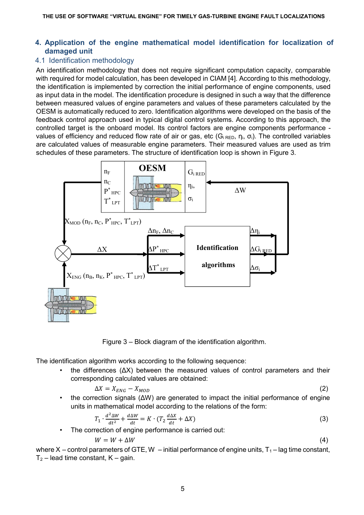## **4. Application of the engine mathematical model identification for localization of damaged unit**

# 4.1 Identification methodology

An identification methodology that does not require significant computation capacity, comparable with required for model calculation, has been developed in CIAM [4]. According to this methodology, the identification is implemented by correction the initial performance of engine components, used as input data in the model. The identification procedure is designed in such a way that the difference between measured values of engine parameters and values of these parameters calculated by the OESM is automatically reduced to zero. Identification algorithms were developed on the basis of the feedback control approach used in typical digital control systems. According to this approach, the controlled target is the onboard model. Its control factors are engine components performance values of efficiency and reduced flow rate of air or gas, etc ( $G_i$ <sub>RED</sub>,  $\eta_i$ ,  $\sigma_i$ ). The controlled variables are calculated values of measurable engine parameters. Their measured values are used as trim schedules of these parameters. The structure of identification loop is shown in Figure 3.



Figure 3 – Block diagram of the identification algorithm.

The identification algorithm works according to the following sequence:

the differences  $(ΔX)$  between the measured values of control parameters and their corresponding calculated values are obtained:

$$
\Delta X = X_{ENG} - X_{MOD} \tag{2}
$$

• the correction signals  $(ΔW)$  are generated to impact the initial performance of engine units in mathematical model according to the relations of the form:

$$
T_1 \cdot \frac{d^2 \Delta W}{dt^2} + \frac{d \Delta W}{dt} = K \cdot (T_2 \frac{d \Delta X}{dt} + \Delta X)
$$
 (3)

• The correction of engine performance is carried out:

$$
W = W + \Delta W \tag{4}
$$

where X – control parameters of GTE, W – initial performance of engine units,  $T_1$ – lag time constant,  $T_2$  – lead time constant, K – gain.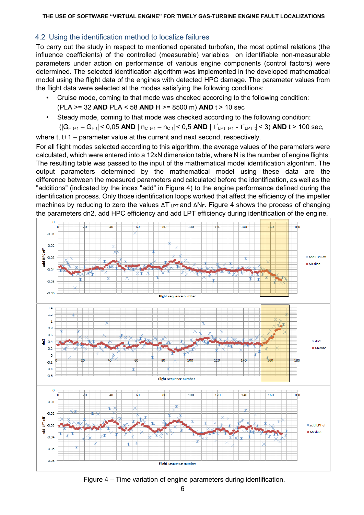## 4.2 Using the identification method to localize failures

To carry out the study in respect to mentioned operated turbofan, the most optimal relations (the influence coefficients) of the controlled (measurable) variables on identifiable non-measurable parameters under action on performance of various engine components (control factors) were determined. The selected identification algorithm was implemented in the developed mathematical model using the flight data of the engines with detected HPC damage. The parameter values from the flight data were selected at the modes satisfying the following conditions:

- Cruise mode, coming to that mode was checked according to the following condition: (PLA >= 32 **AND** PLA < 58 **AND** H >= 8500 m) **AND** t > 10 sec
- Steady mode, coming to that mode was checked according to the following condition:
	- (|G<sub>F t+1</sub> G<sub>F t</sub>| < 0,05 **AND** | n<sub>C t+1</sub> n<sub>C t</sub>| < 0,5 **AND** | T<sup>\*</sup><sub>LPT t+1</sub> T<sup>\*</sup><sub>LPT t</sub>| < 3) **AND** t > 100 sec,

where t, t+1 – parameter value at the current and next second, respectively.

For all flight modes selected according to this algorithm, the average values of the parameters were calculated, which were entered into a 12xN dimension table, where N is the number of engine flights. The resulting table was passed to the input of the mathematical model identification algorithm. The output parameters determined by the mathematical model using these data are the difference between the measured parameters and calculated before the identification, as well as the "additions" (indicated by the index "add" in Figure 4) to the engine performance defined during the identification process. Only those identification loops worked that affect the efficiency of the impeller machines by reducing to zero the values  $\Delta T_{LPT}^*$  and  $\Delta N_F$ . Figure 4 shows the process of changing the parameters dn2, add HPC efficiency and add LPT efficiency during identification of the engine.



Figure 4 – Time variation of engine parameters during identification.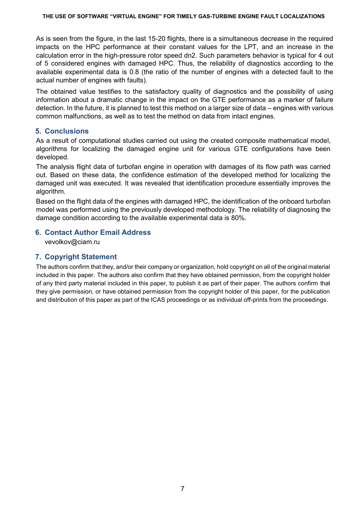As is seen from the figure, in the last 15-20 flights, there is a simultaneous decrease in the required impacts on the HPC performance at their constant values for the LPT, and an increase in the calculation error in the high-pressure rotor speed dn2. Such parameters behavior is typical for 4 out of 5 considered engines with damaged HPC. Thus, the reliability of diagnostics according to the available experimental data is 0.8 (the ratio of the number of engines with a detected fault to the actual number of engines with faults).

The obtained value testifies to the satisfactory quality of diagnostics and the possibility of using information about a dramatic change in the impact on the GTE performance as a marker of failure detection. In the future, it is planned to test this method on a larger size of data – engines with various common malfunctions, as well as to test the method on data from intact engines.

# **5. Conclusions**

As a result of computational studies carried out using the created composite mathematical model, algorithms for localizing the damaged engine unit for various GTE configurations have been developed.

The analysis flight data of turbofan engine in operation with damages of its flow path was carried out. Based on these data, the confidence estimation of the developed method for localizing the damaged unit was executed. It was revealed that identification procedure essentially improves the algorithm.

Based on the flight data of the engines with damaged HPC, the identification of the onboard turbofan model was performed using the previously developed methodology. The reliability of diagnosing the damage condition according to the available experimental data is 80%.

# **6. Contact Author Email Address**

vevolkov@ciam.ru

# **7. Copyright Statement**

The authors confirm that they, and/or their company or organization, hold copyright on all of the original material included in this paper. The authors also confirm that they have obtained permission, from the copyright holder of any third party material included in this paper, to publish it as part of their paper. The authors confirm that they give permission, or have obtained permission from the copyright holder of this paper, for the publication and distribution of this paper as part of the ICAS proceedings or as individual off-prints from the proceedings.